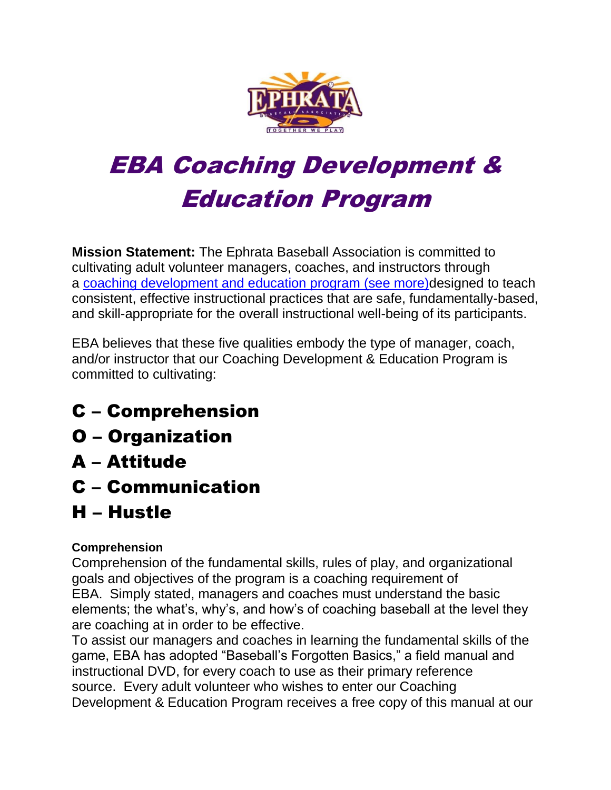

# EBA Coaching Development & Education Program

**Mission Statement:** The Ephrata Baseball Association is committed to cultivating adult volunteer managers, coaches, and instructors through a [coaching development and education program \(see more\)d](file:///C:/Users/bam/Downloads/Level_Requirements.htm)esigned to teach consistent, effective instructional practices that are safe, fundamentally-based, and skill-appropriate for the overall instructional well-being of its participants.

EBA believes that these five qualities embody the type of manager, coach, and/or instructor that our Coaching Development & Education Program is committed to cultivating:

- C Comprehension
- O Organization
- A Attitude
- C Communication
- H Hustle

## **Comprehension**

Comprehension of the fundamental skills, rules of play, and organizational goals and objectives of the program is a coaching requirement of EBA. Simply stated, managers and coaches must understand the basic elements; the what's, why's, and how's of coaching baseball at the level they are coaching at in order to be effective.

To assist our managers and coaches in learning the fundamental skills of the game, EBA has adopted "Baseball's Forgotten Basics," a field manual and instructional DVD, for every coach to use as their primary reference source. Every adult volunteer who wishes to enter our Coaching Development & Education Program receives a free copy of this manual at our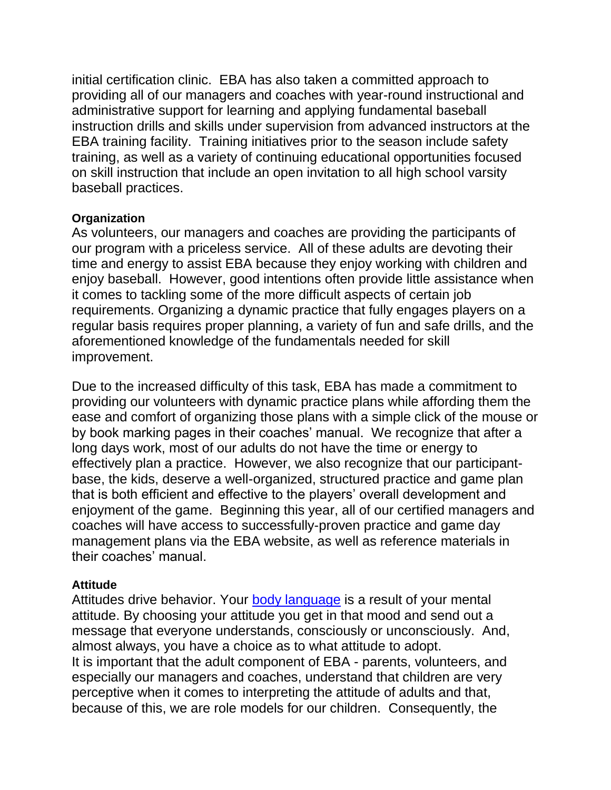initial certification clinic. EBA has also taken a committed approach to providing all of our managers and coaches with year-round instructional and administrative support for learning and applying fundamental baseball instruction drills and skills under supervision from advanced instructors at the EBA training facility. Training initiatives prior to the season include safety training, as well as a variety of continuing educational opportunities focused on skill instruction that include an open invitation to all high school varsity baseball practices.

#### **Organization**

As volunteers, our managers and coaches are providing the participants of our program with a priceless service. All of these adults are devoting their time and energy to assist EBA because they enjoy working with children and enjoy baseball. However, good intentions often provide little assistance when it comes to tackling some of the more difficult aspects of certain job requirements. Organizing a dynamic practice that fully engages players on a regular basis requires proper planning, a variety of fun and safe drills, and the aforementioned knowledge of the fundamentals needed for skill improvement.

Due to the increased difficulty of this task, EBA has made a commitment to providing our volunteers with dynamic practice plans while affording them the ease and comfort of organizing those plans with a simple click of the mouse or by book marking pages in their coaches' manual. We recognize that after a long days work, most of our adults do not have the time or energy to effectively plan a practice. However, we also recognize that our participantbase, the kids, deserve a well-organized, structured practice and game plan that is both efficient and effective to the players' overall development and enjoyment of the game. Beginning this year, all of our certified managers and coaches will have access to successfully-proven practice and game day management plans via the EBA website, as well as reference materials in their coaches' manual.

#### **Attitude**

Attitudes drive behavior. Your [body language](http://www.1000ventures.com/business_guide/crosscuttings/body_language.html) is a result of your mental attitude. By choosing your attitude you get in that mood and send out a message that everyone understands, consciously or unconsciously. And, almost always, you have a choice as to what attitude to adopt. It is important that the adult component of EBA - parents, volunteers, and especially our managers and coaches, understand that children are very perceptive when it comes to interpreting the attitude of adults and that, because of this, we are role models for our children. Consequently, the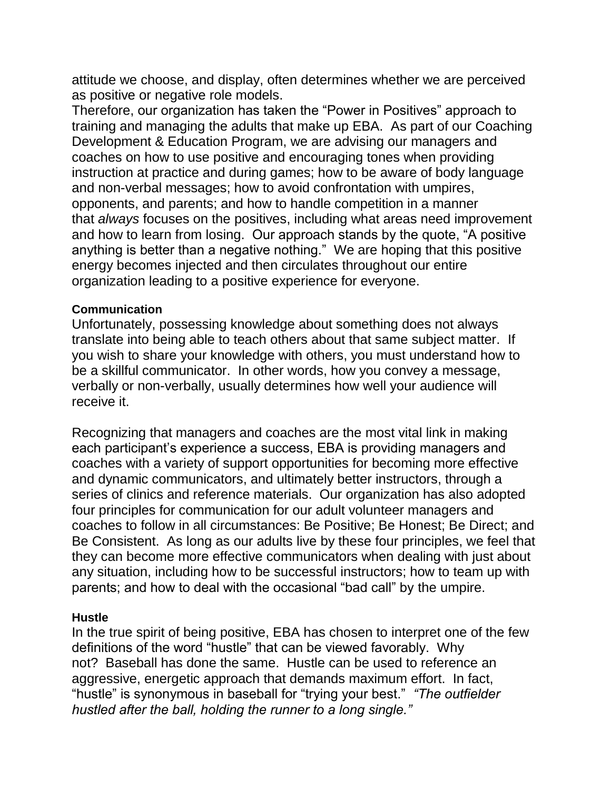attitude we choose, and display, often determines whether we are perceived as positive or negative role models.

Therefore, our organization has taken the "Power in Positives" approach to training and managing the adults that make up EBA. As part of our Coaching Development & Education Program, we are advising our managers and coaches on how to use positive and encouraging tones when providing instruction at practice and during games; how to be aware of body language and non-verbal messages; how to avoid confrontation with umpires, opponents, and parents; and how to handle competition in a manner that *always* focuses on the positives, including what areas need improvement and how to learn from losing. Our approach stands by the quote, "A positive anything is better than a negative nothing." We are hoping that this positive energy becomes injected and then circulates throughout our entire organization leading to a positive experience for everyone.

#### **Communication**

Unfortunately, possessing knowledge about something does not always translate into being able to teach others about that same subject matter. If you wish to share your knowledge with others, you must understand how to be a skillful communicator. In other words, how you convey a message, verbally or non-verbally, usually determines how well your audience will receive it.

Recognizing that managers and coaches are the most vital link in making each participant's experience a success, EBA is providing managers and coaches with a variety of support opportunities for becoming more effective and dynamic communicators, and ultimately better instructors, through a series of clinics and reference materials. Our organization has also adopted four principles for communication for our adult volunteer managers and coaches to follow in all circumstances: Be Positive; Be Honest; Be Direct; and Be Consistent. As long as our adults live by these four principles, we feel that they can become more effective communicators when dealing with just about any situation, including how to be successful instructors; how to team up with parents; and how to deal with the occasional "bad call" by the umpire.

### **Hustle**

In the true spirit of being positive, EBA has chosen to interpret one of the few definitions of the word "hustle" that can be viewed favorably. Why not? Baseball has done the same. Hustle can be used to reference an aggressive, energetic approach that demands maximum effort. In fact, "hustle" is synonymous in baseball for "trying your best." *"The outfielder hustled after the ball, holding the runner to a long single."*